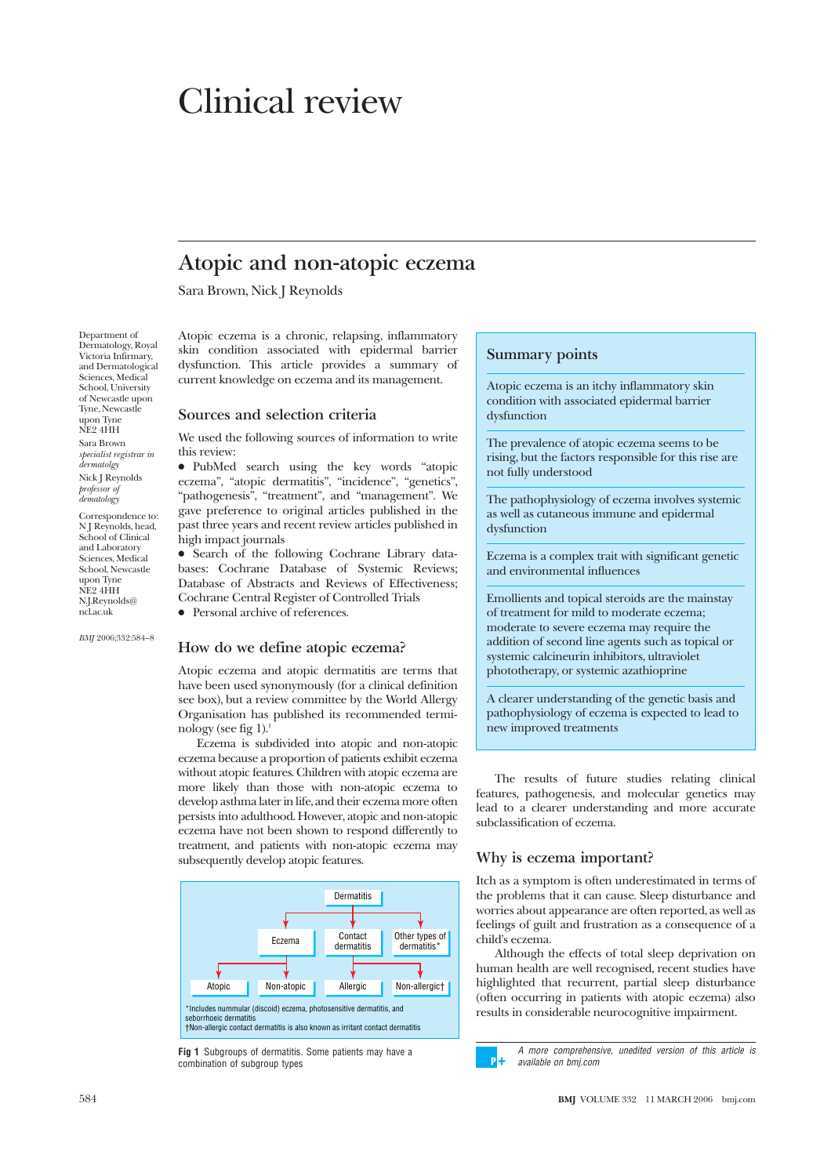# Clinical review

# **Atopic and non-atopic eczema**

Sara Brown, Nick J Reynolds

Atopic eczema is a chronic, relapsing, inflammatory skin condition associated with epidermal barrier dysfunction. This article provides a summary of current knowledge on eczema and its management. **Sources and selection criteria** Department of

> We used the following sources of information to write this review:

> x PubMed search using the key words "atopic eczema", "atopic dermatitis", "incidence", "genetics", "pathogenesis", "treatment", and "management". We gave preference to original articles published in the past three years and recent review articles published in high impact journals

> • Search of the following Cochrane Library databases: Cochrane Database of Systemic Reviews; Database of Abstracts and Reviews of Effectiveness; Cochrane Central Register of Controlled Trials • Personal archive of references.

# **How do we define atopic eczema?**

Atopic eczema and atopic dermatitis are terms that have been used synonymously (for a clinical definition see box), but a review committee by the World Allergy Organisation has published its recommended terminology (see fig  $1$ ).<sup>1</sup>

Eczema is subdivided into atopic and non-atopic eczema because a proportion of patients exhibit eczema without atopic features. Children with atopic eczema are more likely than those with non-atopic eczema to develop asthma later in life, and their eczema more often persists into adulthood. However, atopic and non-atopic eczema have not been shown to respond differently to treatment, and patients with non-atopic eczema may subsequently develop atopic features.



**Fig 1** Subgroups of dermatitis. Some patients may have a combination of subgroup types

# **Summary points**

Atopic eczema is an itchy inflammatory skin condition with associated epidermal barrier dysfunction

The prevalence of atopic eczema seems to be rising, but the factors responsible for this rise are not fully understood

The pathophysiology of eczema involves systemic as well as cutaneous immune and epidermal dysfunction

Eczema is a complex trait with significant genetic and environmental influences

Emollients and topical steroids are the mainstay of treatment for mild to moderate eczema; moderate to severe eczema may require the addition of second line agents such as topical or systemic calcineurin inhibitors, ultraviolet phototherapy, or systemic azathioprine

A clearer understanding of the genetic basis and pathophysiology of eczema is expected to lead to new improved treatments

The results of future studies relating clinical features, pathogenesis, and molecular genetics may lead to a clearer understanding and more accurate subclassification of eczema.

# **Why is eczema important?**

Itch as a symptom is often underestimated in terms of the problems that it can cause. Sleep disturbance and worries about appearance are often reported, as well as feelings of guilt and frustration as a consequence of a child's eczema.

Although the effects of total sleep deprivation on human health are well recognised, recent studies have highlighted that recurrent, partial sleep disturbance (often occurring in patients with atopic eczema) also results in considerable neurocognitive impairment.



A more comprehensive, unedited version of this article is available on bmj.com

Dermatology, Royal Victoria Infirmary, and Dermatological Sciences, Medical School, University of Newcastle upon Tyne, Newcastle upon Tyne NE2 4HH Sara Brown *specialist registrar in dermatolgy* Nick J Reynolds *professor of dematology*

Correspondence to: N J Reynolds, head, School of Clinical and Laboratory Sciences, Medical School, Newcastle upon Tyne  $NFA$  $4HH$ N.J.Reynolds@ ncl.ac.uk

*BMJ* 2006;332:584–8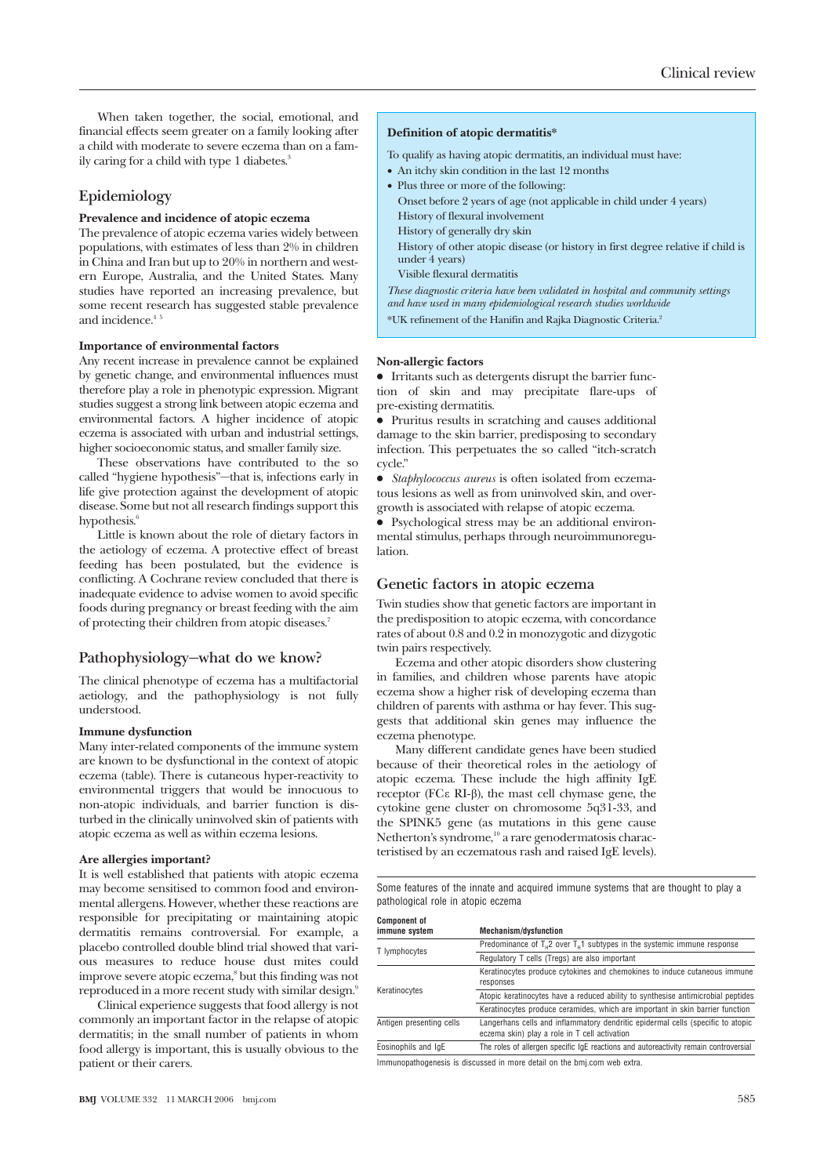When taken together, the social, emotional, and financial effects seem greater on a family looking after a child with moderate to severe eczema than on a family caring for a child with type 1 diabetes.<sup>3</sup>

# **Epidemiology**

# **Prevalence and incidence of atopic eczema**

The prevalence of atopic eczema varies widely between populations, with estimates of less than 2% in children in China and Iran but up to 20% in northern and western Europe, Australia, and the United States. Many studies have reported an increasing prevalence, but some recent research has suggested stable prevalence and incidence.<br> $\real^{4.5}$ 

## **Importance of environmental factors**

Any recent increase in prevalence cannot be explained by genetic change, and environmental influences must therefore play a role in phenotypic expression. Migrant studies suggest a strong link between atopic eczema and environmental factors. A higher incidence of atopic eczema is associated with urban and industrial settings, higher socioeconomic status, and smaller family size.

These observations have contributed to the so called "hygiene hypothesis"—that is, infections early in life give protection against the development of atopic disease. Some but not all research findings support this hypothesis.<sup>6</sup>

Little is known about the role of dietary factors in the aetiology of eczema. A protective effect of breast feeding has been postulated, but the evidence is conflicting. A Cochrane review concluded that there is inadequate evidence to advise women to avoid specific foods during pregnancy or breast feeding with the aim of protecting their children from atopic diseases.7

# **Pathophysiology—what do we know?**

The clinical phenotype of eczema has a multifactorial aetiology, and the pathophysiology is not fully understood.

### **Immune dysfunction**

Many inter-related components of the immune system are known to be dysfunctional in the context of atopic eczema (table). There is cutaneous hyper-reactivity to environmental triggers that would be innocuous to non-atopic individuals, and barrier function is disturbed in the clinically uninvolved skin of patients with atopic eczema as well as within eczema lesions.

# **Are allergies important?**

It is well established that patients with atopic eczema may become sensitised to common food and environmental allergens. However, whether these reactions are responsible for precipitating or maintaining atopic dermatitis remains controversial. For example, a placebo controlled double blind trial showed that various measures to reduce house dust mites could improve severe atopic eczema,<sup>8</sup> but this finding was not reproduced in a more recent study with similar design.<sup>9</sup>

Clinical experience suggests that food allergy is not commonly an important factor in the relapse of atopic dermatitis; in the small number of patients in whom food allergy is important, this is usually obvious to the patient or their carers.

#### **Definition of atopic dermatitis\***

To qualify as having atopic dermatitis, an individual must have:

- An itchy skin condition in the last 12 months
- Plus three or more of the following:
- Onset before 2 years of age (not applicable in child under 4 years) History of flexural involvement
- History of generally dry skin
- History of other atopic disease (or history in first degree relative if child is under 4 years)
- Visible flexural dermatitis

*These diagnostic criteria have been validated in hospital and community settings and have used in many epidemiological research studies worldwide* \*UK refinement of the Hanifin and Rajka Diagnostic Criteria.2

#### **Non-allergic factors**

• Irritants such as detergents disrupt the barrier function of skin and may precipitate flare-ups of pre-existing dermatitis.

 $\bullet$  Pruritus results in scratching and causes additional damage to the skin barrier, predisposing to secondary infection. This perpetuates the so called "itch-scratch cycle."

• *Staphylococcus aureus* is often isolated from eczematous lesions as well as from uninvolved skin, and overgrowth is associated with relapse of atopic eczema.

• Psychological stress may be an additional environmental stimulus, perhaps through neuroimmunoregulation.

# **Genetic factors in atopic eczema**

Twin studies show that genetic factors are important in the predisposition to atopic eczema, with concordance rates of about 0.8 and 0.2 in monozygotic and dizygotic twin pairs respectively.

Eczema and other atopic disorders show clustering in families, and children whose parents have atopic eczema show a higher risk of developing eczema than children of parents with asthma or hay fever. This suggests that additional skin genes may influence the eczema phenotype.

Many different candidate genes have been studied because of their theoretical roles in the aetiology of atopic eczema. These include the high affinity IgE receptor (FCε RI-β), the mast cell chymase gene, the cytokine gene cluster on chromosome 5q31-33, and the SPINK5 gene (as mutations in this gene cause Netherton's syndrome,<sup>10</sup> a rare genodermatosis characteristised by an eczematous rash and raised IgE levels).

Some features of the innate and acquired immune systems that are thought to play a pathological role in atopic eczema

| <b>Component of</b><br>immune system | <b>Mechanism/dysfunction</b>                                                                                                     |
|--------------------------------------|----------------------------------------------------------------------------------------------------------------------------------|
| T lymphocytes                        | Predominance of $T_{H}2$ over $T_{H}1$ subtypes in the systemic immune response                                                  |
|                                      | Regulatory T cells (Tregs) are also important                                                                                    |
| Keratinocytes                        | Keratinocytes produce cytokines and chemokines to induce cutaneous immune<br>responses                                           |
|                                      | Atopic keratinocytes have a reduced ability to synthesise antimicrobial peptides                                                 |
|                                      | Keratinocytes produce ceramides, which are important in skin barrier function                                                    |
| Antigen presenting cells             | Langerhans cells and inflammatory dendritic epidermal cells (specific to atopic<br>eczema skin) play a role in T cell activation |
| Eosinophils and IgE                  | The roles of allergen specific IgE reactions and autoreactivity remain controversial                                             |
|                                      |                                                                                                                                  |

Immunopathogenesis is discussed in more detail on the bmj.com web extra.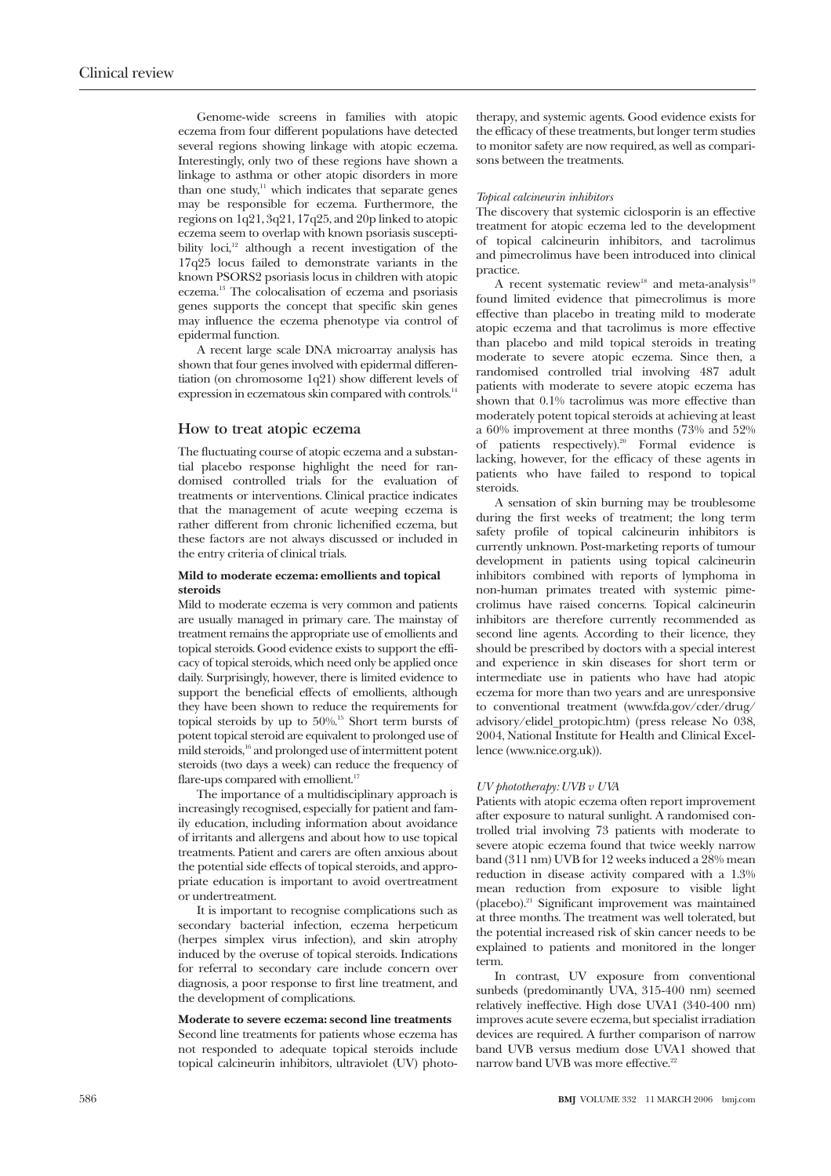Genome-wide screens in families with atopic eczema from four different populations have detected several regions showing linkage with atopic eczema. Interestingly, only two of these regions have shown a linkage to asthma or other atopic disorders in more than one study,<sup>11</sup> which indicates that separate genes may be responsible for eczema. Furthermore, the regions on 1q21, 3q21, 17q25, and 20p linked to atopic eczema seem to overlap with known psoriasis susceptibility loci,<sup>12</sup> although a recent investigation of the 17q25 locus failed to demonstrate variants in the known PSORS2 psoriasis locus in children with atopic eczema.13 The colocalisation of eczema and psoriasis genes supports the concept that specific skin genes may influence the eczema phenotype via control of epidermal function.

A recent large scale DNA microarray analysis has shown that four genes involved with epidermal differentiation (on chromosome 1q21) show different levels of expression in eczematous skin compared with controls.<sup>14</sup>

#### **How to treat atopic eczema**

The fluctuating course of atopic eczema and a substantial placebo response highlight the need for randomised controlled trials for the evaluation of treatments or interventions. Clinical practice indicates that the management of acute weeping eczema is rather different from chronic lichenified eczema, but these factors are not always discussed or included in the entry criteria of clinical trials.

#### **Mild to moderate eczema: emollients and topical steroids**

Mild to moderate eczema is very common and patients are usually managed in primary care. The mainstay of treatment remains the appropriate use of emollients and topical steroids. Good evidence exists to support the efficacy of topical steroids, which need only be applied once daily. Surprisingly, however, there is limited evidence to support the beneficial effects of emollients, although they have been shown to reduce the requirements for topical steroids by up to 50%.15 Short term bursts of potent topical steroid are equivalent to prolonged use of mild steroids,16 and prolonged use of intermittent potent steroids (two days a week) can reduce the frequency of flare-ups compared with emollient.<sup>17</sup>

The importance of a multidisciplinary approach is increasingly recognised, especially for patient and family education, including information about avoidance of irritants and allergens and about how to use topical treatments. Patient and carers are often anxious about the potential side effects of topical steroids, and appropriate education is important to avoid overtreatment or undertreatment.

It is important to recognise complications such as secondary bacterial infection, eczema herpeticum (herpes simplex virus infection), and skin atrophy induced by the overuse of topical steroids. Indications for referral to secondary care include concern over diagnosis, a poor response to first line treatment, and the development of complications.

#### **Moderate to severe eczema: second line treatments**

Second line treatments for patients whose eczema has not responded to adequate topical steroids include topical calcineurin inhibitors, ultraviolet (UV) phototherapy, and systemic agents. Good evidence exists for the efficacy of these treatments, but longer term studies to monitor safety are now required, as well as comparisons between the treatments.

#### *Topical calcineurin inhibitors*

The discovery that systemic ciclosporin is an effective treatment for atopic eczema led to the development of topical calcineurin inhibitors, and tacrolimus and pimecrolimus have been introduced into clinical practice.

A recent systematic review<sup>18</sup> and meta-analysis<sup>19</sup> found limited evidence that pimecrolimus is more effective than placebo in treating mild to moderate atopic eczema and that tacrolimus is more effective than placebo and mild topical steroids in treating moderate to severe atopic eczema. Since then, a randomised controlled trial involving 487 adult patients with moderate to severe atopic eczema has shown that 0.1% tacrolimus was more effective than moderately potent topical steroids at achieving at least a 60% improvement at three months (73% and 52% of patients respectively).20 Formal evidence is lacking, however, for the efficacy of these agents in patients who have failed to respond to topical steroids.

A sensation of skin burning may be troublesome during the first weeks of treatment; the long term safety profile of topical calcineurin inhibitors is currently unknown. Post-marketing reports of tumour development in patients using topical calcineurin inhibitors combined with reports of lymphoma in non-human primates treated with systemic pimecrolimus have raised concerns. Topical calcineurin inhibitors are therefore currently recommended as second line agents. According to their licence, they should be prescribed by doctors with a special interest and experience in skin diseases for short term or intermediate use in patients who have had atopic eczema for more than two years and are unresponsive to conventional treatment (www.fda.gov/cder/drug/ advisory/elidel\_protopic.htm) (press release No 038, 2004, National Institute for Health and Clinical Excellence (www.nice.org.uk)).

#### *UV phototherapy: UVB v UVA*

Patients with atopic eczema often report improvement after exposure to natural sunlight. A randomised controlled trial involving 73 patients with moderate to severe atopic eczema found that twice weekly narrow band (311 nm) UVB for 12 weeks induced a 28% mean reduction in disease activity compared with a 1.3% mean reduction from exposure to visible light (placebo).<sup>21</sup> Significant improvement was maintained at three months. The treatment was well tolerated, but the potential increased risk of skin cancer needs to be explained to patients and monitored in the longer term.

In contrast, UV exposure from conventional sunbeds (predominantly UVA, 315-400 nm) seemed relatively ineffective. High dose UVA1 (340-400 nm) improves acute severe eczema, but specialist irradiation devices are required. A further comparison of narrow band UVB versus medium dose UVA1 showed that narrow band UVB was more effective.<sup>22</sup>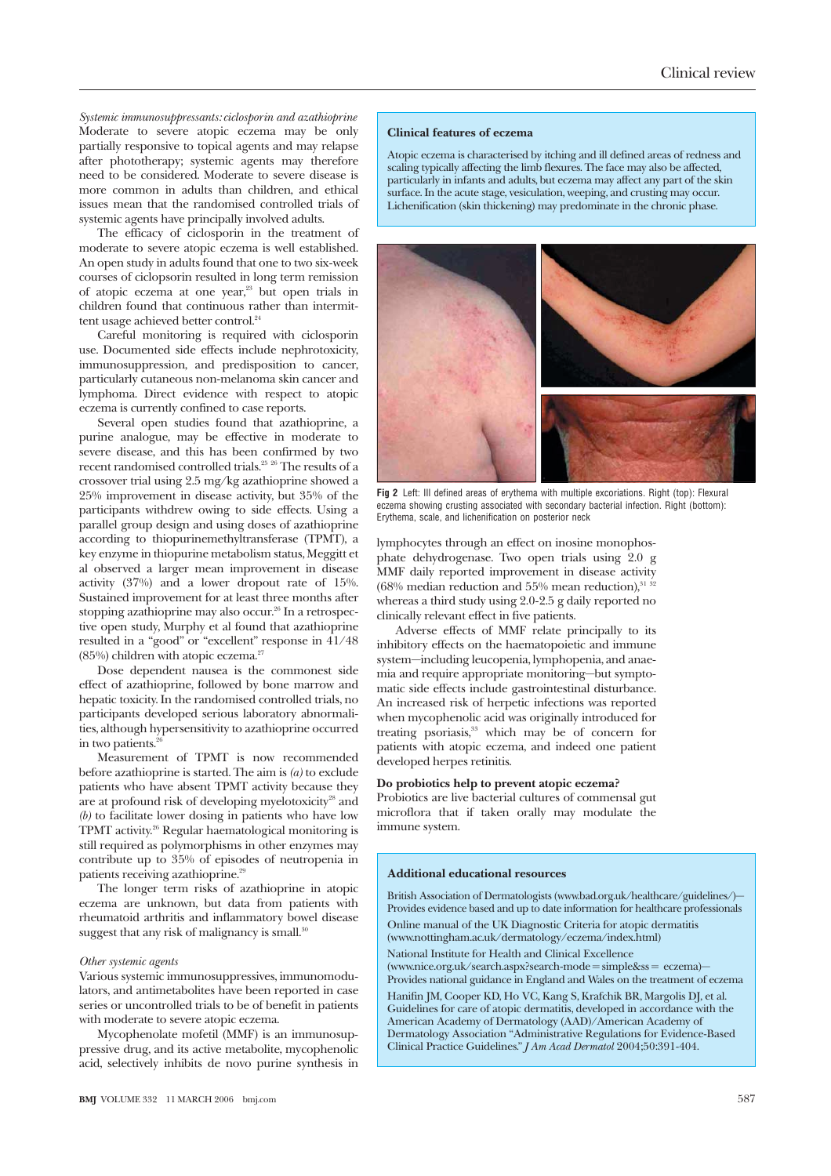*Systemic immunosuppressants: ciclosporin and azathioprine* Moderate to severe atopic eczema may be only partially responsive to topical agents and may relapse after phototherapy; systemic agents may therefore need to be considered. Moderate to severe disease is more common in adults than children, and ethical issues mean that the randomised controlled trials of systemic agents have principally involved adults.

The efficacy of ciclosporin in the treatment of moderate to severe atopic eczema is well established. An open study in adults found that one to two six-week courses of ciclopsorin resulted in long term remission of atopic eczema at one year,23 but open trials in children found that continuous rather than intermittent usage achieved better control.<sup>24</sup>

Careful monitoring is required with ciclosporin use. Documented side effects include nephrotoxicity, immunosuppression, and predisposition to cancer, particularly cutaneous non-melanoma skin cancer and lymphoma. Direct evidence with respect to atopic eczema is currently confined to case reports.

Several open studies found that azathioprine, a purine analogue, may be effective in moderate to severe disease, and this has been confirmed by two recent randomised controlled trials.25 26 The results of a crossover trial using 2.5 mg/kg azathioprine showed a 25% improvement in disease activity, but 35% of the participants withdrew owing to side effects. Using a parallel group design and using doses of azathioprine according to thiopurinemethyltransferase (TPMT), a key enzyme in thiopurine metabolism status, Meggitt et al observed a larger mean improvement in disease activity (37%) and a lower dropout rate of 15%. Sustained improvement for at least three months after stopping azathioprine may also occur.<sup>26</sup> In a retrospective open study, Murphy et al found that azathioprine resulted in a "good" or "excellent" response in 41/48 (85%) children with atopic eczema.<sup>27</sup>

Dose dependent nausea is the commonest side effect of azathioprine, followed by bone marrow and hepatic toxicity. In the randomised controlled trials, no participants developed serious laboratory abnormalities, although hypersensitivity to azathioprine occurred in two patients.<sup>2</sup>

Measurement of TPMT is now recommended before azathioprine is started. The aim is *(a)* to exclude patients who have absent TPMT activity because they are at profound risk of developing myelotoxicity<sup>28</sup> and *(b)* to facilitate lower dosing in patients who have low TPMT activity.26 Regular haematological monitoring is still required as polymorphisms in other enzymes may contribute up to 35% of episodes of neutropenia in patients receiving azathioprine.29

The longer term risks of azathioprine in atopic eczema are unknown, but data from patients with rheumatoid arthritis and inflammatory bowel disease suggest that any risk of malignancy is small. $30$ 

#### *Other systemic agents*

Various systemic immunosuppressives, immunomodulators, and antimetabolites have been reported in case series or uncontrolled trials to be of benefit in patients with moderate to severe atopic eczema.

Mycophenolate mofetil (MMF) is an immunosuppressive drug, and its active metabolite, mycophenolic acid, selectively inhibits de novo purine synthesis in

#### **Clinical features of eczema**

Atopic eczema is characterised by itching and ill defined areas of redness and scaling typically affecting the limb flexures. The face may also be affected, particularly in infants and adults, but eczema may affect any part of the skin surface. In the acute stage, vesiculation, weeping, and crusting may occur. Lichenification (skin thickening) may predominate in the chronic phase.



**Fig 2** Left: Ill defined areas of erythema with multiple excoriations. Right (top): Flexural eczema showing crusting associated with secondary bacterial infection. Right (bottom): Erythema, scale, and lichenification on posterior neck

lymphocytes through an effect on inosine monophosphate dehydrogenase. Two open trials using 2.0 g MMF daily reported improvement in disease activity (68% median reduction and 55% mean reduction), $31\frac{32}{2}$ whereas a third study using 2.0-2.5 g daily reported no clinically relevant effect in five patients.

Adverse effects of MMF relate principally to its inhibitory effects on the haematopoietic and immune system—including leucopenia, lymphopenia, and anaemia and require appropriate monitoring—but symptomatic side effects include gastrointestinal disturbance. An increased risk of herpetic infections was reported when mycophenolic acid was originally introduced for treating psoriasis,<sup>33</sup> which may be of concern for patients with atopic eczema, and indeed one patient developed herpes retinitis.

#### **Do probiotics help to prevent atopic eczema?**

Probiotics are live bacterial cultures of commensal gut microflora that if taken orally may modulate the immune system.

#### **Additional educational resources**

British Association of Dermatologists (www.bad.org.uk/healthcare/guidelines/)— Provides evidence based and up to date information for healthcare professionals Online manual of the UK Diagnostic Criteria for atopic dermatitis

(www.nottingham.ac.uk/dermatology/eczema/index.html) National Institute for Health and Clinical Excellence

(www.nice.org.uk/search.aspx?search-mode = simple&ss = eczema)— Provides national guidance in England and Wales on the treatment of eczema

Hanifin JM, Cooper KD, Ho VC, Kang S, Krafchik BR, Margolis DJ, et al. Guidelines for care of atopic dermatitis, developed in accordance with the American Academy of Dermatology (AAD)/American Academy of Dermatology Association "Administrative Regulations for Evidence-Based Clinical Practice Guidelines." *J Am Acad Dermatol* 2004;50:391-404.